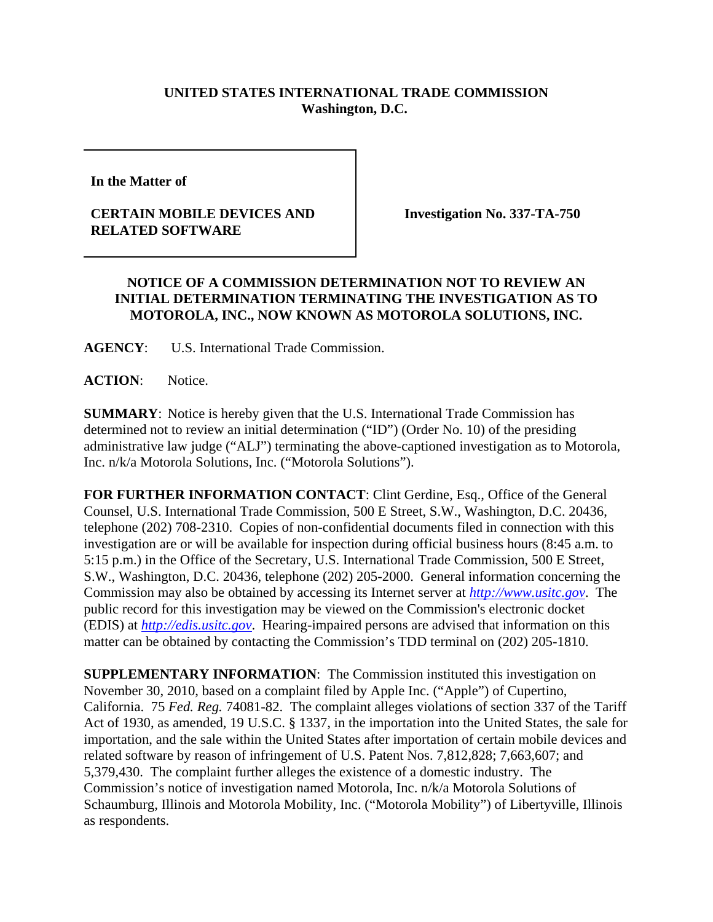## **UNITED STATES INTERNATIONAL TRADE COMMISSION Washington, D.C.**

**In the Matter of** 

## **CERTAIN MOBILE DEVICES AND RELATED SOFTWARE**

**Investigation No. 337-TA-750**

## **NOTICE OF A COMMISSION DETERMINATION NOT TO REVIEW AN INITIAL DETERMINATION TERMINATING THE INVESTIGATION AS TO MOTOROLA, INC., NOW KNOWN AS MOTOROLA SOLUTIONS, INC.**

**AGENCY**: U.S. International Trade Commission.

**ACTION**: Notice.

**SUMMARY**: Notice is hereby given that the U.S. International Trade Commission has determined not to review an initial determination ("ID") (Order No. 10) of the presiding administrative law judge ("ALJ") terminating the above-captioned investigation as to Motorola, Inc. n/k/a Motorola Solutions, Inc. ("Motorola Solutions").

**FOR FURTHER INFORMATION CONTACT**: Clint Gerdine, Esq., Office of the General Counsel, U.S. International Trade Commission, 500 E Street, S.W., Washington, D.C. 20436, telephone (202) 708-2310. Copies of non-confidential documents filed in connection with this investigation are or will be available for inspection during official business hours (8:45 a.m. to 5:15 p.m.) in the Office of the Secretary, U.S. International Trade Commission, 500 E Street, S.W., Washington, D.C. 20436, telephone (202) 205-2000. General information concerning the Commission may also be obtained by accessing its Internet server at *http://www.usitc.gov*. The public record for this investigation may be viewed on the Commission's electronic docket (EDIS) at *http://edis.usitc.gov*. Hearing-impaired persons are advised that information on this matter can be obtained by contacting the Commission's TDD terminal on (202) 205-1810.

**SUPPLEMENTARY INFORMATION**: The Commission instituted this investigation on November 30, 2010, based on a complaint filed by Apple Inc. ("Apple") of Cupertino, California. 75 *Fed. Reg.* 74081-82. The complaint alleges violations of section 337 of the Tariff Act of 1930, as amended, 19 U.S.C. § 1337, in the importation into the United States, the sale for importation, and the sale within the United States after importation of certain mobile devices and related software by reason of infringement of U.S. Patent Nos. 7,812,828; 7,663,607; and 5,379,430. The complaint further alleges the existence of a domestic industry. The Commission's notice of investigation named Motorola, Inc. n/k/a Motorola Solutions of Schaumburg, Illinois and Motorola Mobility, Inc. ("Motorola Mobility") of Libertyville, Illinois as respondents.